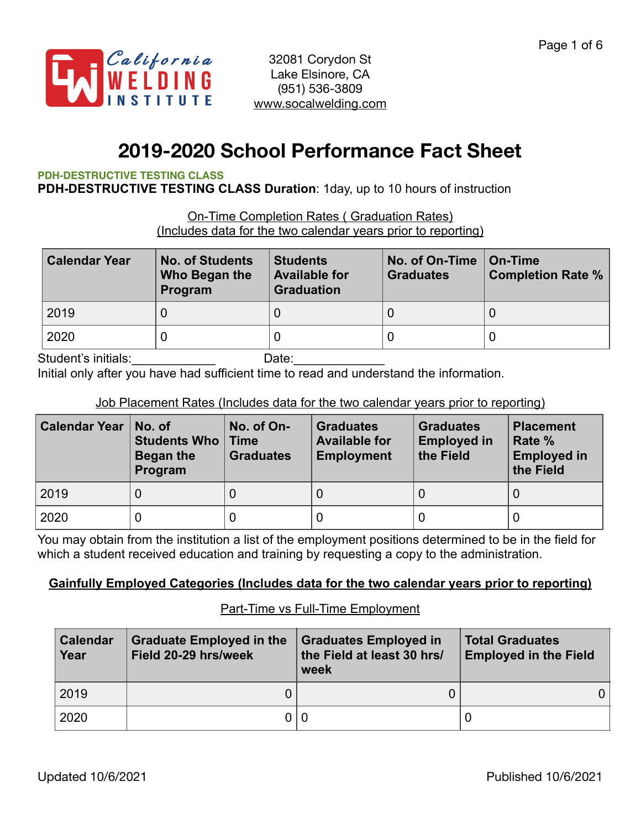

# **2019-2020 School Performance Fact Sheet**

#### **PDH-DESTRUCTIVE TESTING CLASS**

**PDH-DESTRUCTIVE TESTING CLASS Duration**: 1day, up to 10 hours of instruction

On-Time Completion Rates ( Graduation Rates) (Includes data for the two calendar years prior to reporting)

| <b>Calendar Year</b> | <b>No. of Students</b><br>Who Began the<br>Program | <b>Students</b><br><b>Available for</b><br><b>Graduation</b> | No. of On-Time<br><b>Graduates</b> | ∣ On-Time<br><b>Completion Rate %</b> |  |
|----------------------|----------------------------------------------------|--------------------------------------------------------------|------------------------------------|---------------------------------------|--|
| 2019                 |                                                    |                                                              |                                    |                                       |  |
| 2020                 |                                                    |                                                              |                                    |                                       |  |

Student's initials: example and the Date:

Initial only after you have had sufficient time to read and understand the information.

#### Job Placement Rates (Includes data for the two calendar years prior to reporting)

| <b>Calendar Year</b> | No. of<br><b>Students Who</b><br>Began the<br>Program | No. of On-<br>$\blacksquare$ Time<br><b>Graduates</b> | <b>Graduates</b><br><b>Available for</b><br><b>Employment</b> | <b>Graduates</b><br><b>Employed in</b><br>the Field | <b>Placement</b><br>Rate %<br><b>Employed in</b><br>the Field |
|----------------------|-------------------------------------------------------|-------------------------------------------------------|---------------------------------------------------------------|-----------------------------------------------------|---------------------------------------------------------------|
| 2019                 |                                                       |                                                       |                                                               |                                                     |                                                               |
| 2020                 |                                                       |                                                       |                                                               |                                                     |                                                               |

You may obtain from the institution a list of the employment positions determined to be in the field for which a student received education and training by requesting a copy to the administration.

### **Gainfully Employed Categories (Includes data for the two calendar years prior to reporting)**

#### Part-Time vs Full-Time Employment

| <b>Calendar</b><br>Year | <b>Graduate Employed in the</b><br>Field 20-29 hrs/week | <b>Graduates Employed in</b><br>the Field at least 30 hrs/<br>week | <b>Total Graduates</b><br><b>Employed in the Field</b> |
|-------------------------|---------------------------------------------------------|--------------------------------------------------------------------|--------------------------------------------------------|
| 2019                    |                                                         |                                                                    |                                                        |
| 2020                    |                                                         |                                                                    |                                                        |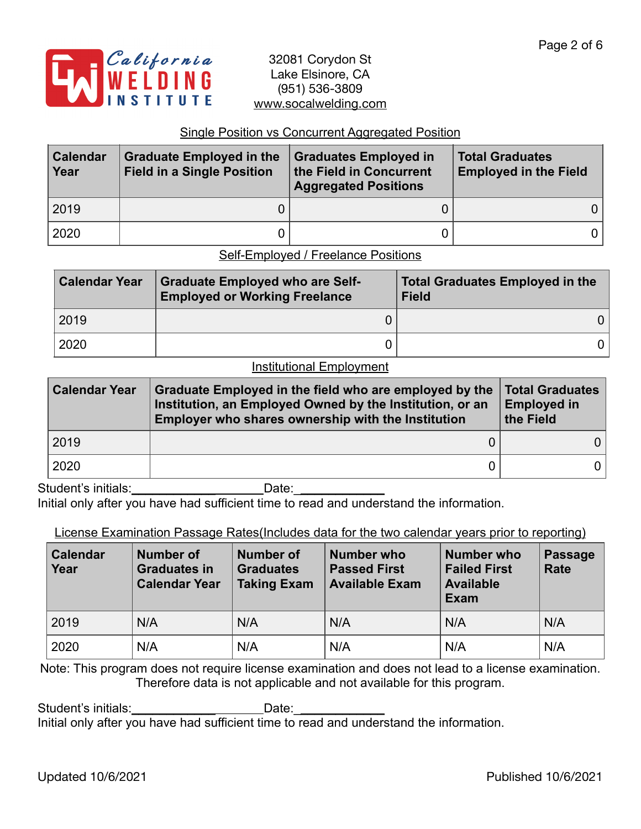

#### Single Position vs Concurrent Aggregated Position

| <b>Calendar</b><br>Year | <b>Graduate Employed in the</b><br><b>Field in a Single Position</b> | <b>Graduates Employed in</b><br>the Field in Concurrent<br><b>Aggregated Positions</b> | <b>Total Graduates</b><br><b>Employed in the Field</b> |  |
|-------------------------|----------------------------------------------------------------------|----------------------------------------------------------------------------------------|--------------------------------------------------------|--|
| 2019                    |                                                                      |                                                                                        | 0 I                                                    |  |
| 2020                    |                                                                      |                                                                                        | 0 l                                                    |  |

Self-Employed / Freelance Positions

| <b>Calendar Year</b> | <b>Graduate Employed who are Self-</b><br><b>Employed or Working Freelance</b> | Total Graduates Employed in the<br><b>Field</b> |
|----------------------|--------------------------------------------------------------------------------|-------------------------------------------------|
| 2019                 |                                                                                | 0                                               |
| 2020                 |                                                                                |                                                 |

#### **Institutional Employment**

| <b>Calendar Year</b> | Graduate Employed in the field who are employed by the<br>Institution, an Employed Owned by the Institution, or an<br>Employer who shares ownership with the Institution | <b>Total Graduates</b><br><b>Employed in</b><br>the Field |  |
|----------------------|--------------------------------------------------------------------------------------------------------------------------------------------------------------------------|-----------------------------------------------------------|--|
| 2019                 |                                                                                                                                                                          |                                                           |  |
| 2020                 |                                                                                                                                                                          |                                                           |  |

Student's initials:\_\_\_\_\_\_\_\_\_\_\_\_\_\_\_\_\_\_\_\_\_\_\_\_\_\_Date:\_\_\_\_\_\_\_\_\_\_\_\_\_\_\_\_\_\_\_\_\_\_\_\_\_\_\_\_\_\_ Initial only after you have had sufficient time to read and understand the information.

### License Examination Passage Rates(Includes data for the two calendar years prior to reporting)

| <b>Calendar</b><br>Year | Number of<br><b>Graduates in</b><br><b>Calendar Year</b> | <b>Number of</b><br><b>Graduates</b><br><b>Taking Exam</b> | <b>Number who</b><br><b>Passed First</b><br><b>Available Exam</b> | Number who<br><b>Failed First</b><br><b>Available</b><br>Exam | <b>Passage</b><br>Rate |
|-------------------------|----------------------------------------------------------|------------------------------------------------------------|-------------------------------------------------------------------|---------------------------------------------------------------|------------------------|
| 2019                    | N/A                                                      | N/A                                                        | N/A                                                               | N/A                                                           | N/A                    |
| 2020                    | N/A                                                      | N/A                                                        | N/A                                                               | N/A                                                           | N/A                    |

Note: This program does not require license examination and does not lead to a license examination. Therefore data is not applicable and not available for this program.

Student's initials:\_\_\_\_\_\_\_\_\_\_\_\_\_\_\_\_\_\_\_\_\_\_\_\_\_\_\_Date:\_\_\_ Initial only after you have had sufficient time to read and understand the information.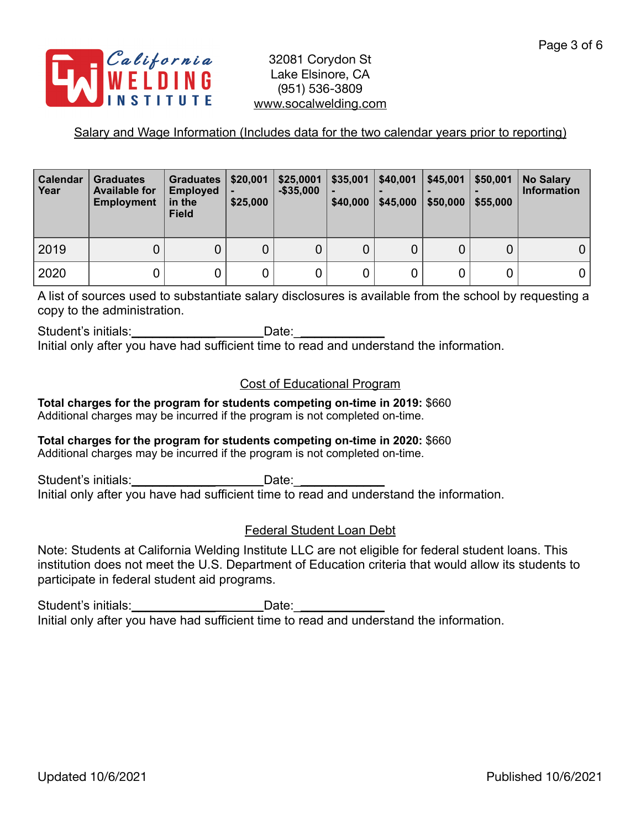

## Salary and Wage Information (Includes data for the two calendar years prior to reporting)

| Calendar<br>Year | <b>Graduates</b><br><b>Available for</b><br><b>Employment</b> | <b>Graduates</b><br><b>Employed</b><br>in the<br><b>Field</b> | \$20,001<br>\$25,000 | \$25,0001<br>$-$ \$35,000 | \$35,001<br>$\blacksquare$<br>\$40,000 | \$40,001<br>\$45,000 | \$45,001<br>\$50,000 | \$50,001<br>\$55,000 | <b>No Salary</b><br><b>Information</b> |
|------------------|---------------------------------------------------------------|---------------------------------------------------------------|----------------------|---------------------------|----------------------------------------|----------------------|----------------------|----------------------|----------------------------------------|
| 2019             | 0                                                             | 0                                                             | 0                    | 0                         | 0                                      | 0                    |                      | 0                    |                                        |
| 2020             | 0                                                             | 0                                                             | 0                    | 0                         |                                        |                      |                      |                      |                                        |

A list of sources used to substantiate salary disclosures is available from the school by requesting a copy to the administration.

Student's initials:\_\_\_\_\_\_\_\_\_\_\_\_\_\_\_\_\_\_\_\_\_\_\_\_\_\_\_Date:\_\_ Initial only after you have had sufficient time to read and understand the information.

## Cost of Educational Program

**Total charges for the program for students competing on-time in 2019:** \$660 Additional charges may be incurred if the program is not completed on-time.

## **Total charges for the program for students competing on-time in 2020:** \$660

Additional charges may be incurred if the program is not completed on-time.

Student's initials: example and Date: Initial only after you have had sufficient time to read and understand the information.

## Federal Student Loan Debt

Note: Students at California Welding Institute LLC are not eligible for federal student loans. This institution does not meet the U.S. Department of Education criteria that would allow its students to participate in federal student aid programs.

Student's initials: example of the Date: Initial only after you have had sufficient time to read and understand the information.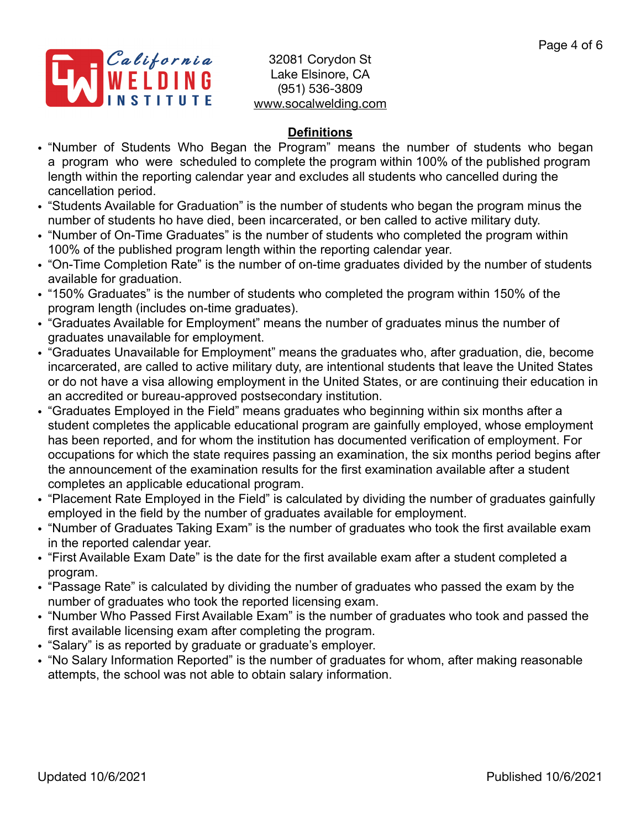

## **Definitions**

- "Number of Students Who Began the Program" means the number of students who began a program who were scheduled to complete the program within 100% of the published program length within the reporting calendar year and excludes all students who cancelled during the cancellation period.
- "Students Available for Graduation" is the number of students who began the program minus the number of students ho have died, been incarcerated, or ben called to active military duty.
- "Number of On-Time Graduates" is the number of students who completed the program within 100% of the published program length within the reporting calendar year.
- "On-Time Completion Rate" is the number of on-time graduates divided by the number of students available for graduation.
- "150% Graduates" is the number of students who completed the program within 150% of the program length (includes on-time graduates).
- "Graduates Available for Employment" means the number of graduates minus the number of graduates unavailable for employment.
- "Graduates Unavailable for Employment" means the graduates who, after graduation, die, become incarcerated, are called to active military duty, are intentional students that leave the United States or do not have a visa allowing employment in the United States, or are continuing their education in an accredited or bureau-approved postsecondary institution.
- "Graduates Employed in the Field" means graduates who beginning within six months after a student completes the applicable educational program are gainfully employed, whose employment has been reported, and for whom the institution has documented verification of employment. For occupations for which the state requires passing an examination, the six months period begins after the announcement of the examination results for the first examination available after a student completes an applicable educational program.
- "Placement Rate Employed in the Field" is calculated by dividing the number of graduates gainfully employed in the field by the number of graduates available for employment.
- "Number of Graduates Taking Exam" is the number of graduates who took the first available exam in the reported calendar year.
- "First Available Exam Date" is the date for the first available exam after a student completed a program.
- "Passage Rate" is calculated by dividing the number of graduates who passed the exam by the number of graduates who took the reported licensing exam.
- "Number Who Passed First Available Exam" is the number of graduates who took and passed the first available licensing exam after completing the program.
- "Salary" is as reported by graduate or graduate's employer.
- "No Salary Information Reported" is the number of graduates for whom, after making reasonable attempts, the school was not able to obtain salary information.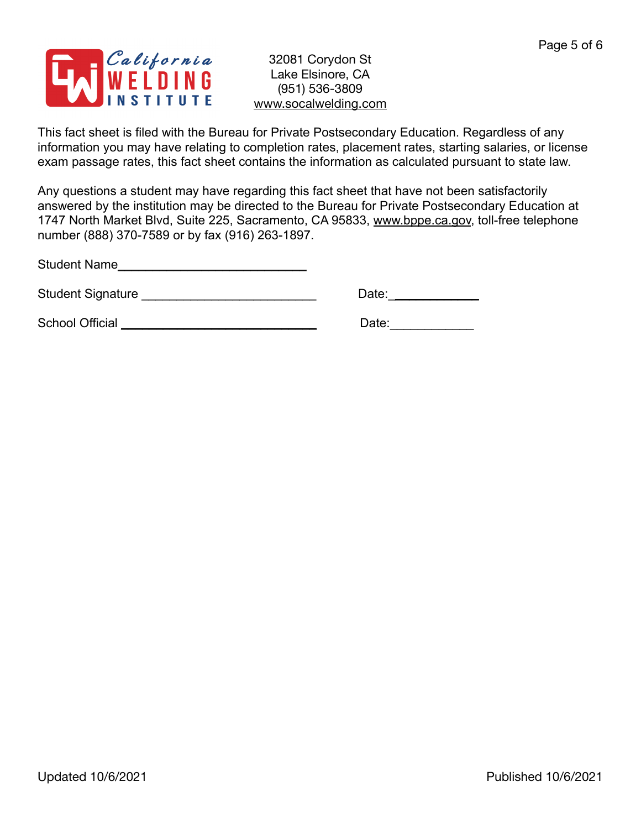

This fact sheet is filed with the Bureau for Private Postsecondary Education. Regardless of any information you may have relating to completion rates, placement rates, starting salaries, or license exam passage rates, this fact sheet contains the information as calculated pursuant to state law.

Any questions a student may have regarding this fact sheet that have not been satisfactorily answered by the institution may be directed to the Bureau for Private Postsecondary Education at 1747 North Market Blvd, Suite 225, Sacramento, CA 95833, [www.bppe.ca.gov](http://www.bppe.ca.gov), toll-free telephone number (888) 370-7589 or by fax (916) 263-1897.

Student Name\_\_\_\_\_\_\_\_\_\_\_\_\_\_\_\_\_\_\_\_\_\_\_\_\_\_\_

Student Signature \_\_\_\_\_\_\_\_\_\_\_\_\_\_\_\_\_\_\_\_\_\_\_\_\_ Date:\_\_\_\_\_\_\_\_\_\_\_\_\_

School Official \_\_\_\_\_\_\_\_\_\_\_\_\_\_\_\_\_\_\_\_\_\_\_\_\_\_\_\_ Date:\_\_\_\_\_\_\_\_\_\_\_\_